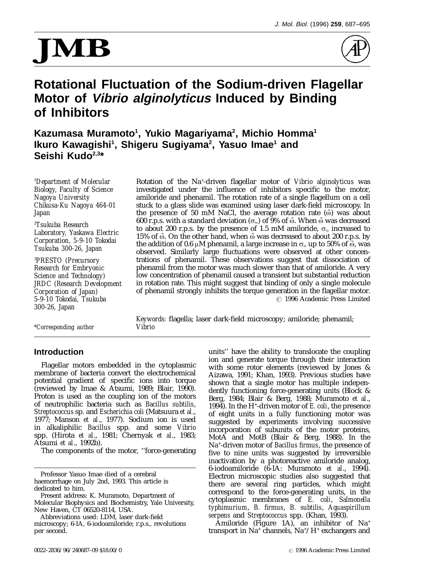# MB



## **Rotational Fluctuation of the Sodium-driven Flagellar Motor of Vibrio alginolyticus Induced by Binding of Inhibitors**

Kazumasa Muramoto<sup>1</sup>, Yukio Magariyama<sup>2</sup>, Michio Homma<sup>1</sup> **Ikuro Kawagishi1 , Shigeru Sugiyama2 , Yasuo Imae1 and Seishi Kudo2,3\***

*Department of Molecular*

*PRESTO (Precursory 300-26, Japan*

*\*Corresponding author Vibrio*

<sup>1</sup>Department of Molecular 10 Rotation of the Na<sup>+</sup>-driven flagellar motor of *Vibrio alginolyticus* was investigated under the influence of inhibitors specific to the motor, *Nagoya University* amiloride and phenamil. The rotation rate of a single flagellum on a cell stuck to a glass slide was examined using laser dark-field microscopy. In *Japan* the presence of 50 mM NaCl, the average rotation rate ( $\ddot{\omega}$ ) was about <sup>2</sup>Tsukuba Research 600 r.p.s. with a standard deviation ( $\sigma_{\omega}$ ) of 9% of  $\bar{\omega}$ . When  $\bar{\omega}$  was decreased to about 200 r.p.s. by the presence of 1.5 mM amiloride,  $\sigma_{\omega}$  increased to *Laboratory, Yaskawa Electric* trations of phenamil. These observations suggest that dissociation of <sup>3</sup> *Research for Embryonic* phenamil from the motor was much slower than that of amiloride. A very *Science and Technology* **b** low concentration of phenamil caused a transient but substantial reduction *Science and Technology)* low concentration of phenamil caused a transient but substantial reduction *JRDC (Research Development* in rotation rate. This might suggest that binding of only a single molecule *Corporation of Japan)* of phenamil strongly inhibits the torque generation in the flagellar motor. *5-9-10 Tokodai, Tsukuba* 7 1996 Academic Press Limited

*Keywords:* flagella; laser dark-field microscopy; amiloride; phenamil;

## **Introduction**

Flagellar motors embedded in the cytoplasmic membrane of bacteria convert the electrochemical potential gradient of specific ions into torque (reviewed by Imae & Atsumi, 1989; Blair, 1990). Proton is used as the coupling ion of the motors of neutrophilic bacteria such as *Bacillus subtilis*, *Streptococcus* sp. and *Escherichia coli* (Matsuura *et al*., 1977; Manson *et al*., 1977). Sodium ion is used in alkaliphilic *Bacillus* spp. and some *Vibrio* spp. (Hirota *et al*., 1981; Chernyak *et al*., 1983; Atsumi *et al*., 1992b).

The components of the motor, ''force-generating

Professor Yasuo Imae died of a cerebral haemorrhage on July 2nd, 1993. This article is dedicated to him.

Present address: K. Muramoto, Department of Molecular Biophysics and Biochemistry, Yale University, New Haven, CT 06520-8114, USA.

units'' have the ability to translocate the coupling ion and generate torque through their interaction with some rotor elements (reviewed by Jones & Aizawa, 1991; Khan, 1993). Previous studies have shown that a single motor has multiple independently functioning force-generating units (Block & Berg, 1984; Blair & Berg, 1988; Muramoto *et al*., 1994). In the H+ -driven motor of *E. coli*, the presence of eight units in a fully functioning motor was suggested by experiments involving successive incorporation of subunits of the motor proteins, MotA and MotB (Blair & Berg, 1988). In the Na+ -driven motor of *Bacillus firmus*, the presence of five to nine units was suggested by irreversible inactivation by a photoreactive amiloride analog, 6-iodoamiloride (6-IA: Muramoto *et al*., 1994). Electron microscopic studies also suggested that there are several ring particles, which might correspond to the force-generating units, in the cytoplasmic membranes of *E. coli*, *Salmonella typhimurium*, *B. firmus*, *B. subtilis*, *Aquaspirillum serpens* and *Streptococcus* spp. (Khan, 1993).

Amiloride (Figure 1A), an inhibitor of Na+ transport in Na+ channels, Na+ /H+ exchangers and

Abbreviations used: LDM, laser dark-field microscopy; 6-IA, 6-iodoamiloride; r.p.s., revolutions per second.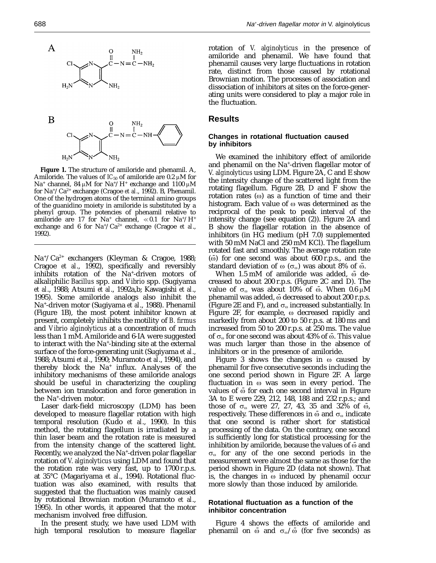

**Figure 1.** The structure of amiloride and phenamil. A, Amiloride. The values of  $IC_{50}$  of amiloride are 0.2  $\mu$ M for Na<sup>+</sup> channel, 84  $\mu$ M for Na<sup>+</sup>/H<sup>+</sup> exchange and 1100  $\mu$ M for Na+/Ca2+ exchange (Cragoe *et al*., 1992). B, Phenamil. One of the hydrogen atoms of the terminal amino groups of the guanidino moiety in amiloride is substituted by a phenyl group. The potencies of phenamil relative to amiloride are 17 for  $Na^+$  channel,  $\ll 0.1$  for  $Na^+/H^+$ exchange and 6 for Na+/Ca2+ exchange (Cragoe *et al*., 1992).

Na+ /Ca2+ exchangers (Kleyman & Cragoe, 1988; Cragoe *et al*., 1992), specifically and reversibly inhibits rotation of the Na+ -driven motors of alkaliphilic *Bacillus* spp. and *Vibrio* spp. (Sugiyama *et al*., 1988; Atsumi *et al*., 1992a,b; Kawagishi *et al*., 1995). Some amiloride analogs also inhibit the Na+ -driven motor (Sugiyama *et al*., 1988). Phenamil (Figure 1B), the most potent inhibitor known at present, completely inhibits the motility of *B. firmus* and *Vibrio alginolyticus* at a concentration of much less than 1 mM. Amiloride and 6-IA were suggested to interact with the Na+ -binding site at the external surface of the force-generating unit (Sugiyama *et al*., 1988; Atsumi *et al*., 1990; Muramoto *et al*., 1994), and thereby block the Na<sup>+</sup> influx. Analyses of the inhibitory mechanisms of these amiloride analogs should be useful in characterizing the coupling between ion translocation and force generation in the Na+ -driven motor.

Laser dark-field microscopy (LDM) has been developed to measure flagellar rotation with high temporal resolution (Kudo *et al*., 1990). In this method, the rotating flagellum is irradiated by a thin laser beam and the rotation rate is measured from the intensity change of the scattered light. Recently, we analyzed the Na+ -driven polar flagellar rotation of *V. alginolyticus* using LDM and found that the rotation rate was very fast, up to 1700 r.p.s. at 35°C (Magariyama *et al*., 1994). Rotational fluctuation was also examined, with results that suggested that the fluctuation was mainly caused by rotational Brownian motion (Muramoto *et al*., 1995). In other words, it appeared that the motor mechanism involved free diffusion.

In the present study, we have used LDM with high temporal resolution to measure flagellar

rotation of *V. alginolyticus* in the presence of amiloride and phenamil. We have found that phenamil causes very large fluctuations in rotation rate, distinct from those caused by rotational Brownian motion. The processes of association and dissociation of inhibitors at sites on the force-generating units were considered to play a major role in the fluctuation.

## **Results**

## **Changes in rotational fluctuation caused by inhibitors**

We examined the inhibitory effect of amiloride and phenamil on the Na+ -driven flagellar motor of *V. alginolyticus* using LDM. Figure 2A, C and E show the intensity change of the scattered light from the rotating flagellum. Figure 2B, D and F show the rotation rates  $(\omega)$  as a function of time and their histogram. Each value of  $\omega$  was determined as the reciprocal of the peak to peak interval of the intensity change (see equation (2)). Figure 2A and B show the flagellar rotation in the absence of inhibitors (in HG medium (pH 7.0) supplemented with 50 mM NaCl and 250 mM KCl). The flagellum rotated fast and smoothly. The average rotation rate  $\left(\overline{\omega}\right)$  for one second was about 600 r.p.s., and the standard deviation of  $\omega$  ( $\sigma_{\omega}$ ) was about 8% of  $\bar{\omega}$ .

When  $1.5 \text{ mM}$  of amiloride was added,  $\bar{\omega}$  decreased to about 200 r.p.s. (Figure 2C and D). The value of  $\sigma_{\omega}$  was about 10% of  $\bar{\omega}$ . When 0.6  $\mu$ M phenamil was added,  $\bar{\omega}$  decreased to about 200 r.p.s. (Figure 2E and F), and  $\sigma_{\omega}$  increased substantially. In Figure 2F, for example,  $\omega$  decreased rapidly and markedly from about 200 to 50 r.p.s. at 180 ms and increased from 50 to 200 r.p.s. at 250 ms. The value of  $\sigma_{\omega}$  for one second was about 43% of  $\bar{\omega}$ . This value was much larger than those in the absence of inhibitors or in the presence of amiloride.

Figure 3 shows the changes in  $\omega$  caused by phenamil for five consecutive seconds including the one second period shown in Figure 2F. A large fluctuation in  $\omega$  was seen in every period. The values of  $\bar{\omega}$  for each one second interval in Figure 3A to E were 229, 212, 148, 188 and 232 r.p.s.; and those of  $\sigma_{\omega}$  were 27, 27, 43, 35 and 32% of  $\bar{\omega}$ , respectively. These differences in  $\bar{\omega}$  and  $\sigma_{\omega}$  indicate that one second is rather short for statistical processing of the data. On the contrary, one second is sufficiently long for statistical processing for the inhibition by amiloride, because the values of  $\bar{\omega}$  and  $\sigma_{\omega}$  for any of the one second periods in the measurement were almost the same as those for the period shown in Figure 2D (data not shown). That is, the changes in  $\omega$  induced by phenamil occur more slowly than those induced by amiloride.

## **Rotational fluctuation as a function of the inhibitor concentration**

Figure 4 shows the effects of amiloride and phenamil on  $\bar{\omega}$  and  $\sigma_{\omega}/\bar{\omega}$  (for five seconds) as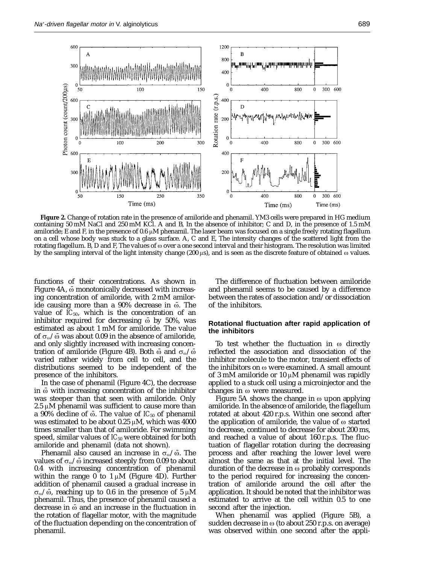

**Figure 2.** Change of rotation rate in the presence of amiloride and phenamil. YM3 cells were prepared in HG medium containing 50 mM NaCl and 250 mM KCl. A and B, In the absence of inhibitor; C and D, in the presence of 1.5 mM amiloride; E and F, in the presence of 0.6  $\mu$ M phenamil. The laser beam was focused on a single freely rotating flagellum on a cell whose body was stuck to a glass surface. A, C and E, The intensity changes of the scattered light from the rotating flagellum. B, D and F, The values of  $\omega$  over a one second interval and their histogram. The resolution was limited by the sampling interval of the light intensity change (200  $\mu$ s), and is seen as the discrete feature of obtained  $\omega$  values.

functions of their concentrations. As shown in Figure 4A,  $\ddot{\text{o}}$  monotonically decreased with increasing concentration of amiloride, with 2 mM amiloride causing more than a  $90\%$  decrease in  $\bar{\omega}$ . The value of  $IC_{50}$ , which is the concentration of an inhibitor required for decreasing  $\bar{\omega}$  by 50%, was estimated as about 1 mM for amiloride. The value of  $\sigma_{\omega}/\bar{\omega}$  was about 0.09 in the absence of amiloride, and only slightly increased with increasing concentration of amiloride (Figure 4B). Both  $\bar{\omega}$  and  $\sigma_{\omega}/\bar{\omega}$ varied rather widely from cell to cell, and the distributions seemed to be independent of the presence of the inhibitors.

In the case of phenamil (Figure 4C), the decrease in  $\ddot{\omega}$  with increasing concentration of the inhibitor was steeper than that seen with amiloride. Only  $2.5 \mu M$  phenamil was sufficient to cause more than a 90% decline of  $\bar{\omega}$ . The value of *IC*<sub>50</sub> of phenamil was estimated to be about 0.25  $\mu$ M, which was 4000 times smaller than that of amiloride. For swimming speed, similar values of *IC*<sub>50</sub> were obtained for both amiloride and phenamil (data not shown).

Phenamil also caused an increase in  $\sigma_{\omega}/\bar{\omega}$ . The values of  $\sigma_{\omega}/\bar{\omega}$  increased steeply from 0.09 to about 0.4 with increasing concentration of phenamil within the range 0 to  $1 \mu M$  (Figure 4D). Further addition of phenamil caused a gradual increase in  $\sigma_{\omega}/\bar{\omega}$ , reaching up to 0.6 in the presence of 5  $\mu$ M phenamil. Thus, the presence of phenamil caused a decrease in  $\bar{\omega}$  and an increase in the fluctuation in the rotation of flagellar motor, with the magnitude of the fluctuation depending on the concentration of phenamil.

The difference of fluctuation between amiloride and phenamil seems to be caused by a difference between the rates of association and/or dissociation of the inhibitors.

## **Rotational fluctuation after rapid application of the inhibitors**

To test whether the fluctuation in  $\omega$  directly reflected the association and dissociation of the inhibitor molecule to the motor, transient effects of the inhibitors on  $\omega$  were examined. A small amount of 3 mM amiloride or 10  $\mu$ M phenamil was rapidly applied to a stuck cell using a microinjector and the changes in  $\omega$  were measured.

Figure 5A shows the change in  $\omega$  upon applying amiloride. In the absence of amiloride, the flagellum rotated at about 420 r.p.s. Within one second after the application of amiloride, the value of  $\omega$  started to decrease, continued to decrease for about 200 ms, and reached a value of about 160 r.p.s. The fluctuation of flagellar rotation during the decreasing process and after reaching the lower level were almost the same as that at the initial level. The duration of the decrease in  $\omega$  probably corresponds to the period required for increasing the concentration of amiloride around the cell after the application. It should be noted that the inhibitor was estimated to arrive at the cell within 0.5 to one second after the injection.

When phenamil was applied (Figure 5B), a sudden decrease in  $\omega$  (to about 250 r.p.s. on average) was observed within one second after the appli-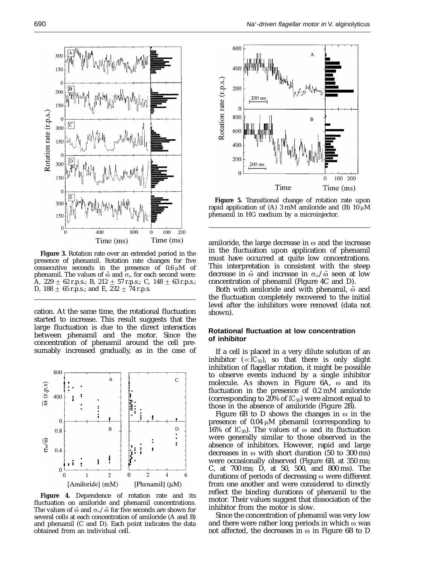

**Figure 3.** Rotation rate over an extended period in the presence of phenamil. Rotation rate changes for five consecutive seconds in the presence of  $0.6 \mu M$  of phenamil. The values of  $\bar{\omega}$  and  $\sigma_{\omega}$  for each second were: A, 229  $\pm$  62 r.p.s.; B, 212  $\pm$  57 r.p.s.; C, 148  $\pm$  63 r.p.s.; D, 188  $\pm$  65 r.p.s.; and E, 232  $\pm$  74 r.p.s.

cation. At the same time, the rotational fluctuation started to increase. This result suggests that the large fluctuation is due to the direct interaction between phenamil and the motor. Since the concentration of phenamil around the cell presumably increased gradually, as in the case of



**Figure 4.** Dependence of rotation rate and its fluctuation on amiloride and phenamil concentrations. The values of  $\bar{\omega}$  and  $\sigma_{\omega}/\bar{\omega}$  for five seconds are shown for several cells at each concentration of amiloride (A and B) and phenamil (C and D). Each point indicates the data obtained from an individual cell.



**Figure 5.** Transitional change of rotation rate upon rapid application of (A) 3 mM amiloride and (B) 10  $\mu$ M phenamil in HG medium by a microinjector.

amiloride, the large decrease in  $\omega$  and the increase in the fluctuation upon application of phenamil must have occurred at quite low concentrations. This interpretation is consistent with the steep decrease in  $\bar{\omega}$  and increase in  $\sigma_{\omega}/\bar{\omega}$  seen at low concentration of phenamil (Figure 4C and D).

Both with amiloride and with phenamil,  $\ddot{\omega}$  and the fluctuation completely recovered to the initial level after the inhibitors were removed (data not shown).

## **Rotational fluctuation at low concentration of inhibitor**

If a cell is placed in a very dilute solution of an inhibitor  $(\ll IC_{50})$ , so that there is only slight inhibition of flagellar rotation, it might be possible to observe events induced by a single inhibitor molecule. As shown in Figure  $6A$ ,  $\omega$  and its fluctuation in the presence of 0.2 mM amiloride (corresponding to 20% of  $IC_{50}$ ) were almost equal to those in the absence of amiloride (Figure 2B).

Figure 6B to D shows the changes in  $\omega$  in the presence of  $0.04 \mu M$  phenamil (corresponding to 16% of  $IC_{50}$ ). The values of  $\omega$  and its fluctuation were generally similar to those observed in the absence of inhibitors. However, rapid and large decreases in  $\omega$  with short duration (50 to 300 ms) were occasionally observed (Figure 6B, at 350 ms; C, at 700 ms; D, at 50, 500, and 800 ms). The durations of periods of decreasing  $\omega$  were different from one another and were considered to directly reflect the binding durations of phenamil to the motor. Their values suggest that dissociation of the inhibitor from the motor is slow.

Since the concentration of phenamil was very low and there were rather long periods in which  $\omega$  was not affected, the decreases in  $\omega$  in Figure 6B to D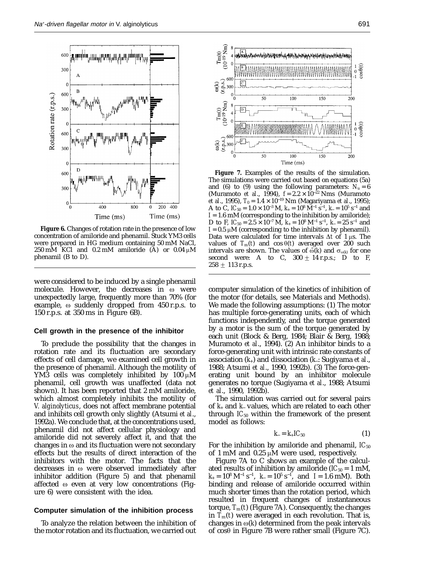

**Figure 6.** Changes of rotation rate in the presence of low concentration of amiloride and phenamil. Stuck YM3 cells were prepared in HG medium containing 50 mM NaCl, 250 mM KCl and 0.2 mM amiloride (A) or 0.04  $\mu$ M phenamil (B to D).

were considered to be induced by a single phenamil molecule. However, the decreases in  $\omega$  were unexpectedly large, frequently more than 70% (for example,  $\omega$  suddenly dropped from 450 r.p.s. to 150 r.p.s. at 350 ms in Figure 6B).

## **Cell growth in the presence of the inhibitor**

To preclude the possibility that the changes in rotation rate and its fluctuation are secondary effects of cell damage, we examined cell growth in the presence of phenamil. Although the motility of YM3 cells was completely inhibited by  $100 \mu M$ phenamil, cell growth was unaffected (data not shown). It has been reported that 2 mM amiloride, which almost completely inhibits the motility of *V. alginolyticus*, does not affect membrane potential and inhibits cell growth only slightly (Atsumi *et al*., 1992a). We conclude that, at the concentrations used, phenamil did not affect cellular physiology and amiloride did not severely affect it, and that the changes in  $\omega$  and its fluctuation were not secondary effects but the results of direct interaction of the inhibitors with the motor. The facts that the decreases in  $\omega$  were observed immediately after inhibitor addition (Figure 5) and that phenamil affected  $\omega$  even at very low concentrations (Figure 6) were consistent with the idea.

## **Computer simulation of the inhibition process**

To analyze the relation between the inhibition of the motor rotation and its fluctuation, we carried out



**Figure 7.** Examples of the results of the simulation. The simulations were carried out based on equations (5a) and (6) to (9) using the following parameters:  $N_u = 6$ (Muramoto *et al*., 1994), *f* = 2.2 × 10<sup>−</sup><sup>22</sup> Nms (Muramoto *et al.*, 1995), *T*<sub>0</sub> = 1.4 × 10<sup>-19</sup> Nm (Magariyama *et al.*, 1995); A to C,  $IC_{50} = 1.0 \times 10^{-3}$  M,  $k_{+} = 10^{8}$  M<sup>-1</sup> s<sup>-1</sup>,  $k_{-} = 10^{5}$  s<sup>-1</sup> and  $I = 1.6$  mM (corresponding to the inhibition by amiloride); D to F,  $IC_{50} = 2.5 \times 10^{-7}$  M,  $k_{+} = 10^{8}$  M<sup>-1</sup> s<sup>-1</sup>,  $k_{-} = 25$  s<sup>-1</sup> and  $I = 0.5 \mu M$  (corresponding to the inhibition by phenamil). Data were calculated for time intervals  $\Delta t$  of 1  $\mu$ s. The values of  $T_m(t)$  and cos  $\theta(t)$  averaged over 200 such intervals are shown. The values of  $\bar{\omega}(k)$  and  $\sigma_{\omega(k)}$  for one second were: A to C,  $300 \pm 14$  r.p.s.; D to F,  $258 \pm 113$  r.p.s.

computer simulation of the kinetics of inhibition of the motor (for details, see Materials and Methods). We made the following assumptions: (1) The motor has multiple force-generating units, each of which functions independently, and the torque generated by a motor is the sum of the torque generated by each unit (Block & Berg, 1984; Blair & Berg, 1988; Muramoto *et al*., 1994). (2) An inhibitor binds to a force-generating unit with intrinsic rate constants of association (*k*+) and dissociation (*k*−: Sugiyama *et al*., 1988; Atsumi *et al*., 1990, 1992b). (3) The force-generating unit bound by an inhibitor molecule generates no torque (Sugiyama *et al*., 1988; Atsumi *et al*., 1990, 1992b).

The simulation was carried out for several pairs of *k*<sup>+</sup> and *k*<sup>−</sup> values, which are related to each other through  $IC_{50}$  within the framework of the present model as follows:

$$
k_{-}=k_{+}IC_{50} \tag{1}
$$

For the inhibition by amiloride and phenamil,  $IC_{50}$ of 1 mM and  $0.25 \mu M$  were used, respectively.

Figure 7A to C shows an example of the calculated results of inhibition by amiloride  *mM,*  $k_{+} = 10^{8} \text{ M}^{-1} \text{ s}^{-1}$ ,  $k_{-} = 10^{5} \text{ s}^{-1}$ , and  $I = 1.6 \text{ mM}$ ). Both binding and release of amiloride occurred within much shorter times than the rotation period, which resulted in frequent changes of instantaneous torque,  $T_m(t)$  (Figure 7A). Consequently, the changes in  $T_m(t)$  were averaged in each revolution. That is, changes in  $\omega(k)$  determined from the peak intervals of  $cos\theta$  in Figure 7B were rather small (Figure 7C).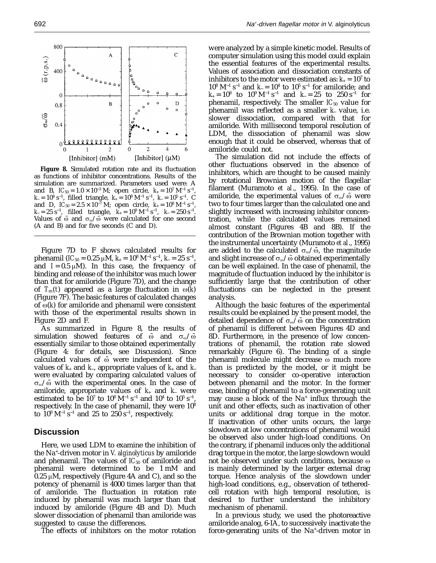as functions of inhibitor concentrations. Results of the simulation are summarized. Parameters used were: A and B,  $IC_{50} = 1.0 \times 10^{-3}$  M; open circle,  $k_{+} = 10^{7}$  M<sup>-1</sup> s<sup>-1</sup>, *k*<sub>−</sub> = 10<sup>4</sup> s<sup>−1</sup>, filled triangle, *k*<sub>+</sub> = 10<sup>8</sup> M<sup>−1</sup> s<sup>−1</sup>, *k*<sub>−</sub> = 10<sup>5</sup> s<sup>−1</sup>. C and D,  $IC_{50} = 2.5 \times 10^{-7}$  M; open circle,  $k_{+} = 10^{8}$  M<sup>-1</sup> s<sup>-1</sup>, *k*− = 25 s<sup>−1</sup>, filled triangle, *k*<sub>+</sub> = 10<sup>9</sup> M<sup>−1</sup> s<sup>−1</sup>, *k*− = 250 s<sup>−1</sup>. Values of  $\bar{\omega}$  and  $\sigma_{\omega}/\bar{\omega}$  were calculated for one second (A and B) and for five seconds (C and D).

Figure 7D to F shows calculated results for phenamil (*IC*<sub>50</sub> = 0.25 µM,  $k_{+} = 10^{8}$  M<sup>-1</sup> s<sup>-1</sup>,  $k_{-} = 25$  s<sup>-1</sup>, and  $I = 0.5 \mu M$ ). In this case, the frequency of binding and release of the inhibitor was much lower than that for amiloride (Figure 7D), and the change of  $T_m(t)$  appeared as a large fluctuation in  $\omega(\vec{k})$ (Figure 7F). The basic features of calculated changes of  $\omega(k)$  for amiloride and phenamil were consistent with those of the experimental results shown in Figure 2D and F.

As summarized in Figure 8, the results of simulation showed features of  $\bar{\omega}$  and  $\sigma_{\omega}/\bar{\omega}$ essentially similar to those obtained experimentally (Figure 4: for details, see Discussion). Since calculated values of  $\bar{\omega}$  were independent of the values of *k*<sup>+</sup> and *k*−, appropriate values of *k*<sup>+</sup> and *k*<sup>−</sup> were evaluated by comparing calculated values of  $\sigma_{\omega}/\bar{\omega}$  with the experimental ones. In the case of amiloride, appropriate values of *k*<sup>+</sup> and *k*<sup>−</sup> were estimated to be  $10^7$  to  $10^8$  M<sup>-1</sup> s<sup>-1</sup> and  $10^4$  to  $10^5$  s<sup>-1</sup>, respectively. In the case of phenamil, they were 108 to  $10^9 \rm \ M^{-1} \ s^{-1}$  and  $25$  to  $250 \ s^{-1}$ , respectively.

## **Discussion**

Here, we used LDM to examine the inhibition of the Na+ -driven motor in *V. alginolyticus* by amiloride and phenamil. The values of *IC*<sup>50</sup> of amiloride and phenamil were determined to be 1 mM and  $0.25 \mu M$ , respectively (Figure 4A and C), and so the potency of phenamil is 4000 times larger than that of amiloride. The fluctuation in rotation rate induced by phenamil was much larger than that induced by amiloride (Figure 4B and D). Much slower dissociation of phenamil than amiloride was suggested to cause the differences.

The effects of inhibitors on the motor rotation

were analyzed by a simple kinetic model. Results of computer simulation using this model could explain the essential features of the experimental results. Values of association and dissociation constants of inhibitors to the motor were estimated as:  $k_{+} = 10^{7}$  to  $10^8$  M<sup>-1</sup> s<sup>-1</sup> and *k*− = 10<sup>4</sup> to 10<sup>5</sup> s<sup>-1</sup> for amiloride; and  $k_{+} = 10^{8}$  to  $10^{9}$  M<sup>-1</sup> s<sup>-1</sup> and  $k = 25$  to  $250$  s<sup>-1</sup> for phenamil, respectively. The smaller  $IC_{50}$  value for phenamil was reflected as a smaller *k*<sup>−</sup> value, i.e. slower dissociation, compared with that for amiloride. With millisecond temporal resolution of LDM, the dissociation of phenamil was slow enough that it could be observed, whereas that of amiloride could not.

The simulation did not include the effects of other fluctuations observed in the absence of inhibitors, which are thought to be caused mainly by rotational Brownian motion of the flagellar filament (Muramoto *et al*., 1995). In the case of amiloride, the experimental values of  $\sigma_{\omega}/\bar{\omega}$  were two to four times larger than the calculated one and slightly increased with increasing inhibitor concentration, while the calculated values remained almost constant (Figures 4B and 8B). If the contribution of the Brownian motion together with the instrumental uncertainty (Muramoto *et al*., 1995) are added to the calculated  $\sigma_{\omega}/\bar{\omega}$ , the magnitude and slight increase of  $\sigma_{\omega}/\bar{\omega}$  obtained experimentally can be well explained. In the case of phenamil, the magnitude of fluctuation induced by the inhibitor is sufficiently large that the contribution of other fluctuations can be neglected in the present analysis.

Although the basic features of the experimental results could be explained by the present model, the detailed dependence of  $\sigma_{\omega}/\bar{\omega}$  on the concentration of phenamil is different between Figures 4D and 8D. Furthermore, in the presence of low concentrations of phenamil, the rotation rate slowed remarkably (Figure 6). The binding of a single phenamil molecule might decrease  $\omega$  much more than is predicted by the model, or it might be necessary to consider co-operative interaction between phenamil and the motor. In the former case, binding of phenamil to a force-generating unit may cause a block of the  $Na<sup>+</sup>$  influx through the unit and other effects, such as inactivation of other units or additional drag torque in the motor. If inactivation of other units occurs, the large slowdown at low concentrations of phenamil would be observed also under high-load conditions. On the contrary, if phenamil induces only the additional drag torque in the motor, the large slowdown would not be observed under such conditions, because  $\omega$ is mainly determined by the larger external drag torque. Hence analysis of the slowdown under high-load conditions, e.g., observation of tetheredcell rotation with high temporal resolution, is desired to further understand the inhibitory mechanism of phenamil.

In a previous study, we used the photoreactive amiloride analog, 6-IA, to successively inactivate the force-generating units of the Na+ -driven motor in

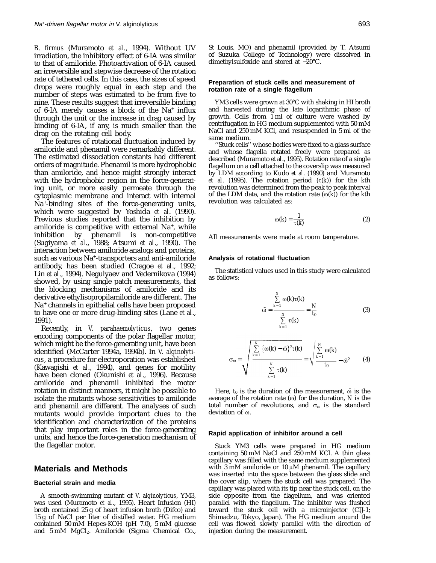*B. firmus* (Muramoto *et al*., 1994). Without UV irradiation, the inhibitory effect of 6-IA was similar to that of amiloride. Photoactivation of 6-IA caused an irreversible and stepwise decrease of the rotation rate of tethered cells. In this case, the sizes of speed drops were roughly equal in each step and the number of steps was estimated to be from five to nine. These results suggest that irreversible binding of 6-IA merely causes a block of the Na+ influx through the unit or the increase in drag caused by binding of 6-IA, if any, is much smaller than the drag on the rotating cell body.

The features of rotational fluctuation induced by amiloride and phenamil were remarkably different. The estimated dissociation constants had different orders of magnitude. Phenamil is more hydrophobic than amiloride, and hence might strongly interact with the hydrophobic region in the force-generating unit, or more easily permeate through the cytoplasmic membrane and interact with internal Na+ -binding sites of the force-generating units, which were suggested by Yoshida *et al*. (1990). Previous studies reported that the inhibition by amiloride is competitive with external  $Na^+$ , while inhibition by phenamil is non-competitive phenamil is non-competitive (Sugiyama *et al*., 1988; Atsumi *et al*., 1990). The interaction between amiloride analogs and proteins, such as various Na+ -transporters and anti-amiloride antibody, has been studied (Cragoe *et al*., 1992; Lin *et al*., 1994). Negulyaev and Vedernikova (1994) showed, by using single patch measurements, that the blocking mechanisms of amiloride and its derivative ethylisopropilamiloride are different. The Na<sup>+</sup> channels in epithelial cells have been proposed to have one or more drug-binding sites (Lane *et al*., 1991).

Recently, in *V. parahaemolyticus*, two genes encoding components of the polar flagellar motor, which might be the force-generating unit, have been identified (McCarter 1994a, 1994b). In *V. alginolyticus*, a procedure for electroporation was established (Kawagishi *et al*., 1994), and genes for motility have been cloned (Okunishi *et al*., 1996). Because amiloride and phenamil inhibited the motor rotation in distinct manners, it might be possible to isolate the mutants whose sensitivities to amiloride and phenamil are different. The analyses of such mutants would provide important clues to the identification and characterization of the proteins that play important roles in the force-generating units, and hence the force-generation mechanism of the flagellar motor.

## **Materials and Methods**

### **Bacterial strain and media**

A smooth-swimming mutant of *V. alginolyticus*, YM3, was used (Muramoto *et al*., 1995). Heart Infusion (HI) broth contained 25 g of heart infusion broth (Difco) and 15 g of NaCl per liter of distilled water. HG medium contained 50 mM Hepes-KOH (pH 7.0), 5 mM glucose and 5 mM MgCl<sub>2</sub>. Amiloride (Sigma Chemical Co.,

## **Preparation of stuck cells and measurement of rotation rate of a single flagellum**

YM3 cells were grown at 30°C with shaking in HI broth and harvested during the late logarithmic phase of growth. Cells from 1 ml of culture were washed by centrifugation in HG medium supplemented with 50 mM NaCl and 250 mM KCl, and resuspended in 5 ml of the same medium.

''Stuck cells'' whose bodies were fixed to a glass surface and whose flagella rotated freely were prepared as described (Muramoto *et al*., 1995). Rotation rate of a single flagellum on a cell attached to the coverslip was measured by LDM according to Kudo *et al*. (1990) and Muramoto *et al.* (1995). The rotation period  $(\tau(k))$  for the *k*th revolution was determined from the peak to peak interval of the LDM data, and the rotation rate  $(\omega(k))$  for the *k*th revolution was calculated as:

$$
\omega(k) = \frac{1}{\tau(k)}\tag{2}
$$

All measurements were made at room temperature.

### **Analysis of rotational fluctuation**

The statistical values used in this study were calculated as follows:

$$
\bar{\omega} = \frac{\sum_{k=1}^{N} \omega(k)\tau(k)}{\sum_{k=1}^{N} \tau(k)} = \frac{N}{t_0}
$$
 (3)

$$
\sigma_{\omega} = \sqrt{\frac{\sum\limits_{k=1}^{N} {\{\omega(k) - \bar{\omega}\}^2 \tau(k)} }{\sum\limits_{k=1}^{N} \tau(k)} } = \sqrt{\frac{\sum\limits_{k=1}^{N} {\omega(k)} }{t_0} - \bar{\omega}^2}
$$
 (4)

Here,  $t_0$  is the duration of the measurement,  $\bar{\omega}$  is the average of the rotation rate  $(\omega)$  for the duration,  $N$  is the total number of revolutions, and  $\sigma_{\omega}$  is the standard deviation of  $\omega$ .

## **Rapid application of inhibitor around a cell**

Stuck YM3 cells were prepared in HG medium containing 50 mM NaCl and 250 mM KCl. A thin glass capillary was filled with the same medium supplemented with 3 mM amiloride or 10  $\mu$ M phenamil. The capillary was inserted into the space between the glass slide and the cover slip, where the stuck cell was prepared. The capillary was placed with its tip near the stuck cell, on the side opposite from the flagellum, and was oriented parallel with the flagellum. The inhibitor was flushed toward the stuck cell with a microinjector (CIJ-1; Shimadzu, Tokyo, Japan). The HG medium around the cell was flowed slowly parallel with the direction of injection during the measurement.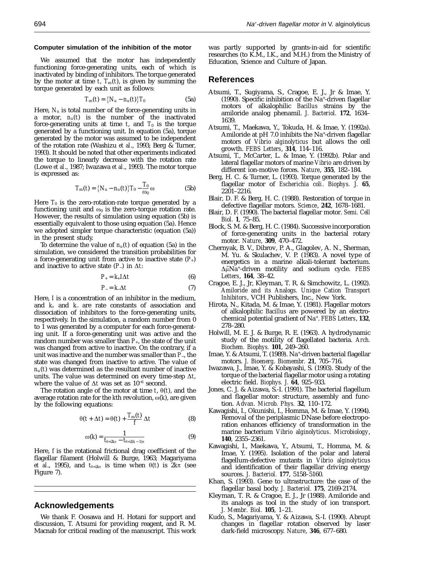#### **Computer simulation of the inhibition of the motor**

We assumed that the motor has independently functioning force-generating units, each of which is inactivated by binding of inhibitors. The torque generated by the motor at time  $t$ ,  $T_m(t)$ , is given by summing the torque generated by each unit as follows:

$$
T_{\rm m}(t) = \{N_{\rm u} - n_{\rm u}(t)\} T_0 \tag{5a}
$$

Here,  $N_u$  is total number of the force-generating units in a motor,  $n_u(t)$  is the number of the inactivated force-generating units at time  $t$ , and  $T_0$  is the torque generated by a functioning unit. In equation (5a), torque generated by the motor was assumed to be independent of the rotation rate (Washizu *et al*., 1993; Berg & Turner, 1993). It should be noted that other experiments indicated the torque to linearly decrease with the rotation rate (Lowe *et al*., 1987; Iwazawa *et al*., 1993). The motor torque is expressed as:

$$
T_{\rm m}(t) = \{N_{\rm u} - n_{\rm u}(t)\} T_0 - \frac{T_0}{\omega_0} \omega \tag{5b}
$$

Here  $T_0$  is the zero-rotation-rate torque generated by a functioning unit and  $\omega_0$  is the zero-torque rotation rate. However, the results of simulation using equation (5b) is essentially equivalent to those using equation (5a). Hence we adopted simpler torque characteristic (equation (5a)) in the present study.

To determine the value of  $n_u(t)$  of equation (5a) in the simulation, we considered the transition probabilities for a force-generating unit from active to inactive state  $(P_+)$ and inactive to active state  $(P_$ ) in  $\Delta t$ :

$$
P_+ = k_+ I \Delta t \tag{6}
$$

$$
P_{-} = k_{\Delta} t \tag{7}
$$

Here, *I* is a concentration of an inhibitor in the medium, and *k+* and *k*<sup>−</sup> are rate constants of association and dissociation of inhibitors to the force-generating units, respectively. In the simulation, a random number from 0 to 1 was generated by a computer for each force-generating unit. If a force-generating unit was active and the random number was smaller than  $P_{+}$ , the state of the unit was changed from active to inactive. On the contrary, if a unit was inactive and the number was smaller than *P*−, the state was changed from inactive to active. The value of  $n_{\rm u}(t)$  was determined as the resultant number of inactive units. The value was determined on every time-step  $\Delta t$ , where the value of  $\Delta t$  was set as 10<sup>-6</sup> second.

The rotation angle of the motor at time  $t$ ,  $\theta(t)$ , and the average rotation rate for the  $k$ th revolution,  $\omega(k)$ , are given by the following equations:

$$
\theta(t + \Delta t) = \theta(t) + \frac{T_{\text{m}}(t)}{f} \Delta t \tag{8}
$$

$$
\omega(k) = \frac{1}{t_{\theta = 2k\pi} - t_{\theta = 2(k-1)\pi}}
$$
(9)

Here, *f* is the rotational frictional drag coefficient of the flagellar filament (Holwill & Burge, 1963; Magariyama *et al.*, 1995), and  $t_{\theta=2k\pi}$  is time when  $\theta(t)$  is  $2k\pi$  (see Figure 7).

## **Acknowledgements**

We thank F. Oosawa and H. Hotani for support and discussion, T. Atsumi for providing reagent, and R. M. Macnab for critical reading of the manuscript. This work was partly supported by grants-in-aid for scientific researches (to K.M., I.K., and M.H.) from the Ministry of Education, Science and Culture of Japan.

## **References**

- Atsumi, T., Sugiyama, S., Cragoe, E. J., Jr & Imae, Y. (1990). Specific inhibition of the Na+-driven flagellar motors of alkalophilic *Bacillus* strains by the amiloride analog phenamil. *J. Bacteriol.* **172**, 1634– 1639.
- Atsumi, T., Maekawa, Y., Tokuda, H. & Imae, Y. (1992a). Amiloride at pH 7.0 inhibits the Na<sup>+</sup>-driven flagellar motors of *Vibrio alginolyticus* but allows the cell growth. *FEBS Letters*, **314**, 114–116.
- Atsumi, T., McCarter, L. & Imae, Y. (1992b). Polar and lateral flagellar motors of marine *Vibrio* are driven by different ion-motive forces. *Nature*, **355**, 182–184.
- Berg, H. C. & Turner, L. (1993). Torque generated by the flagellar motor of *Escherichia coli*. *Biophys. J.* **65**, 2201–2216.
- Blair, D. F. & Berg, H. C. (1988). Restoration of torque in defective flagellar motors. *Science*, **242**, 1678–1681.
- Blair, D. F. (1990). The bacterial flagellar motor. *Semi. Cell Biol.* **1**, 75–85.
- Block, S. M. & Berg, H. C. (1984). Successive incorporation of force-generating units in the bacterial rotary motor. *Nature*, **309**, 470–472.
- Chernyak, B. V., Dibrov, P. A., Glagolev, A. N., Sherman, M. Yu. & Skulachev, V. P. (1983). A novel type of energetics in a marine alkali-tolerant bacterium.  $\Delta \tilde{\mu} N a^+$ -driven motility and sodium cycle. FEBS *Letters*, **164**, 38–42.
- Cragoe, E. J., Jr, Kleyman, T. R. & Simchowitz, L. (1992). *Amiloride and its Analogs. Unique Cation Transport Inhibitors*, VCH Publishers, Inc., New York.
- Hirota, N., Kitada, M. & Imae, Y. (1981). Flagellar motors of alkalophilic *Bacillus* are powered by an electrochemical potential gradient of Na+. *FEBS Letters*, **132**, 278–280.
- Holwill, M. E. J. & Burge, R. E. (1963). A hydrodynamic study of the motility of flagellated bacteria. *Arch. Biochem. Biophys.* **101**, 249–260.
- Imae, Y. & Atsumi, T. (1989). Na+-driven bacterial flagellar motors. *J. Bioenerg. Biomembr.* **21**, 705–716.
- Iwazawa, J., Imae, Y. & Kobayashi, S. (1993). Study of the torque of the bacterial flagellar motor using a rotating electric field. *Biophys. J.* **64**, 925–933.
- Jones, C. J. & Aizawa, S.-I. (1991). The bacterial flagellum and flagellar motor: structure, assembly and function. *Advan. Microb. Phys.* **32**, 110–172.
- Kawagishi, I., Okunishi, I., Homma, M. & Imae, Y. (1994). Removal of the periplasmic DNase before electroporation enhances efficiency of transformation in the marine bacterium *Vibrio alginolyticus*. *Microbiology*, **140**, 2355–2361.
- Kawagishi, I., Maekawa, Y., Atsumi, T., Homma, M. & Imae, Y. (1995). Isolation of the polar and lateral flagellum-defective mutants in *Vibrio alginolyticus* and identification of their flagellar driving energy sources. *J. Bacteriol.* **177**, 5158–5160.
- Khan, S. (1993). Gene to ultrastructure: the case of the flagellar basal body. *J. Bacteriol.* **175**, 2169-2174.
- Kleyman, T. R. & Cragoe, E. J., Jr (1988). Amiloride and its analogs as tool in the study of ion transport. *J. Membr. Biol.* **105**, 1–21.
- Kudo, S., Magariyama, Y. & Aizawa, S.-I. (1990). Abrupt changes in flagellar rotation observed by laser dark-field microscopy. *Nature*, **346**, 677–680.